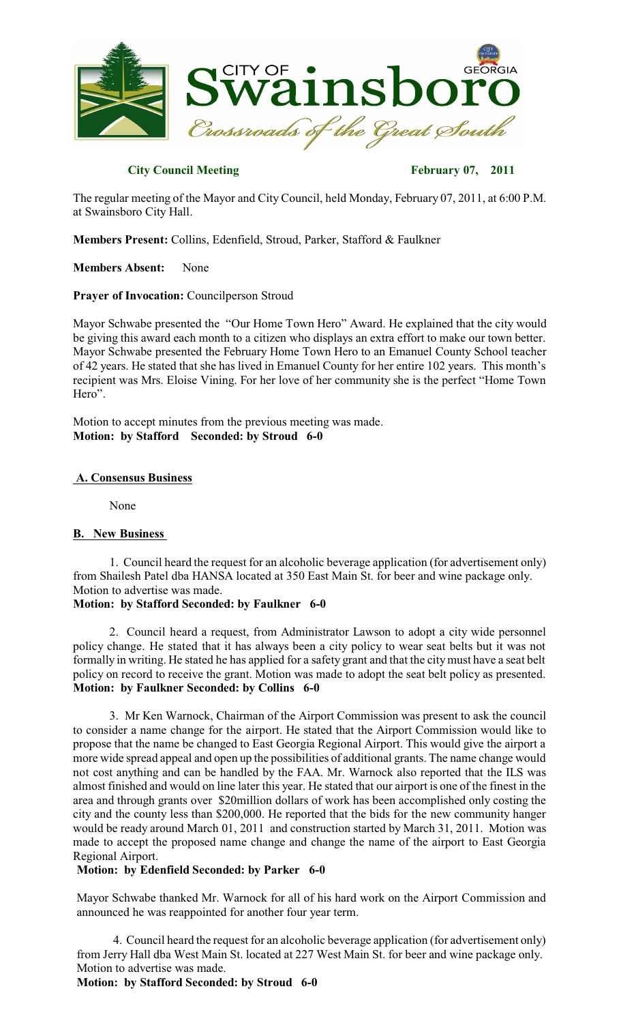

# **City Council Meeting February 07, 2011**

The regular meeting of the Mayor and City Council, held Monday, February 07, 2011, at 6:00 P.M. at Swainsboro City Hall.

**Members Present:** Collins, Edenfield, Stroud, Parker, Stafford & Faulkner

**Members Absent:** None

### **Prayer of Invocation:** Councilperson Stroud

Mayor Schwabe presented the "Our Home Town Hero" Award. He explained that the city would be giving this award each month to a citizen who displays an extra effort to make our town better. Mayor Schwabe presented the February Home Town Hero to an Emanuel County School teacher of 42 years. He stated that she has lived in Emanuel County for her entire 102 years. This month's recipient was Mrs. Eloise Vining. For her love of her community she is the perfect "Home Town Hero".

Motion to accept minutes from the previous meeting was made. **Motion: by Stafford Seconded: by Stroud 6-0**

#### **A. Consensus Business**

None

#### **B. New Business**

1. Council heard the request for an alcoholic beverage application (for advertisement only) from Shailesh Patel dba HANSA located at 350 East Main St. for beer and wine package only. Motion to advertise was made.

# **Motion: by Stafford Seconded: by Faulkner 6-0**

2. Council heard a request, from Administrator Lawson to adopt a city wide personnel policy change. He stated that it has always been a city policy to wear seat belts but it was not formally in writing. He stated he has applied for a safety grant and that the citymust have a seat belt policy on record to receive the grant. Motion was made to adopt the seat belt policy as presented. **Motion: by Faulkner Seconded: by Collins 6-0**

3. Mr Ken Warnock, Chairman of the Airport Commission was present to ask the council to consider a name change for the airport. He stated that the Airport Commission would like to propose that the name be changed to East Georgia Regional Airport. This would give the airport a more wide spread appeal and open up the possibilities of additional grants. The name change would not cost anything and can be handled by the FAA. Mr. Warnock also reported that the ILS was almost finished and would on line later this year. He stated that our airport is one of the finest in the area and through grants over \$20million dollars of work has been accomplished only costing the city and the county less than \$200,000. He reported that the bids for the new community hanger would be ready around March 01, 2011 and construction started by March 31, 2011. Motion was made to accept the proposed name change and change the name of the airport to East Georgia Regional Airport.

#### **Motion: by Edenfield Seconded: by Parker 6-0**

Mayor Schwabe thanked Mr. Warnock for all of his hard work on the Airport Commission and announced he was reappointed for another four year term.

4. Council heard the request for an alcoholic beverage application (for advertisement only) from Jerry Hall dba West Main St. located at 227 West Main St. for beer and wine package only. Motion to advertise was made.

**Motion: by Stafford Seconded: by Stroud 6-0**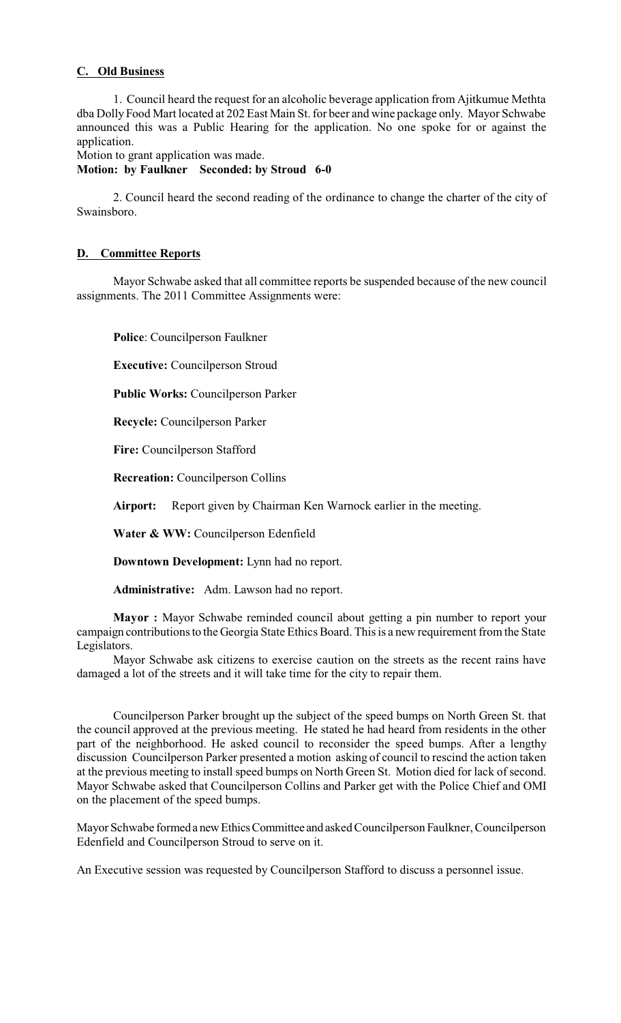# **C. Old Business**

1. Council heard the request for an alcoholic beverage application from Ajitkumue Methta dba Dolly Food Mart located at 202 East Main St. for beer and wine package only. Mayor Schwabe announced this was a Public Hearing for the application. No one spoke for or against the application.

Motion to grant application was made.

**Motion: by Faulkner Seconded: by Stroud 6-0**

2. Council heard the second reading of the ordinance to change the charter of the city of Swainsboro.

# **D. Committee Reports**

Mayor Schwabe asked that all committee reports be suspended because of the new council assignments. The 2011 Committee Assignments were:

**Police**: Councilperson Faulkner

**Executive:** Councilperson Stroud

**Public Works:** Councilperson Parker

**Recycle:** Councilperson Parker

**Fire:** Councilperson Stafford

**Recreation:** Councilperson Collins

**Airport:** Report given by Chairman Ken Warnock earlier in the meeting.

**Water & WW:** Councilperson Edenfield

**Downtown Development:** Lynn had no report.

**Administrative:** Adm. Lawson had no report.

**Mayor :** Mayor Schwabe reminded council about getting a pin number to report your campaign contributions to the Georgia State Ethics Board. This is a new requirement from the State Legislators.

Mayor Schwabe ask citizens to exercise caution on the streets as the recent rains have damaged a lot of the streets and it will take time for the city to repair them.

Councilperson Parker brought up the subject of the speed bumps on North Green St. that the council approved at the previous meeting. He stated he had heard from residents in the other part of the neighborhood. He asked council to reconsider the speed bumps. After a lengthy discussion Councilperson Parker presented a motion asking of council to rescind the action taken at the previous meeting to install speed bumps on North Green St. Motion died for lack of second. Mayor Schwabe asked that Councilperson Collins and Parker get with the Police Chief and OMI on the placement of the speed bumps.

Mayor Schwabe formeda newEthicsCommittee and asked Councilperson Faulkner, Councilperson Edenfield and Councilperson Stroud to serve on it.

An Executive session was requested by Councilperson Stafford to discuss a personnel issue.